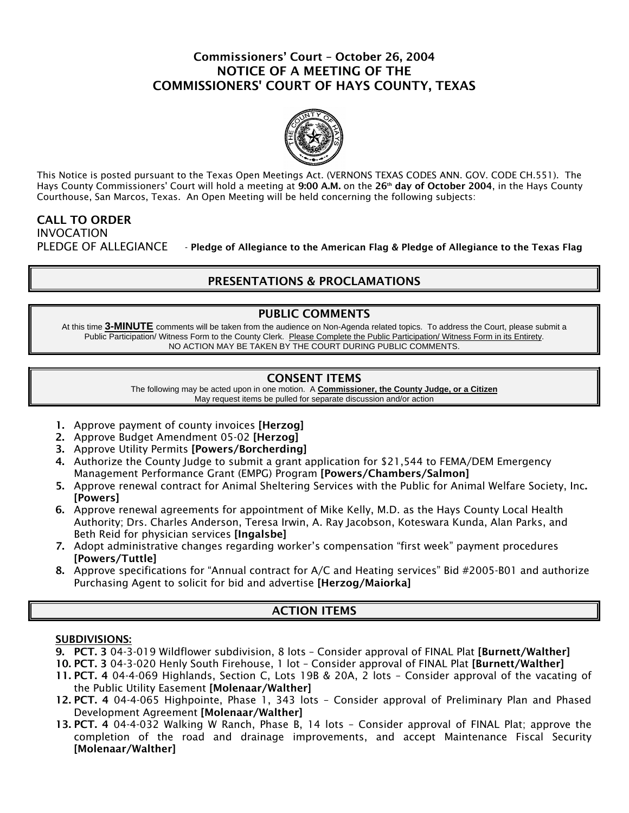## Commissioners' Court – October 26, 2004 NOTICE OF A MEETING OF THE COMMISSIONERS' COURT OF HAYS COUNTY, TEXAS



This Notice is posted pursuant to the Texas Open Meetings Act. (VERNONS TEXAS CODES ANN. GOV. CODE CH.551). The Hays County Commissioners' Court will hold a meeting at 9:00 A.M. on the 26<sup>th</sup> day of October 2004, in the Hays County Courthouse, San Marcos, Texas. An Open Meeting will be held concerning the following subjects:

### CALL TO ORDER INVOCATION PLEDGE OF ALLEGIANCE - Pledge of Allegiance to the American Flag & Pledge of Allegiance to the Texas Flag

# PRESENTATIONS & PROCLAMATIONS

### PUBLIC COMMENTS

At this time **3-MINUTE** comments will be taken from the audience on Non-Agenda related topics. To address the Court, please submit a Public Participation/ Witness Form to the County Clerk. Please Complete the Public Participation/ Witness Form in its Entirety. NO ACTION MAY BE TAKEN BY THE COURT DURING PUBLIC COMMENTS.

## CONSENT ITEMS

The following may be acted upon in one motion. A **Commissioner, the County Judge, or a Citizen** May request items be pulled for separate discussion and/or action

- 1. Approve payment of county invoices [**Herzog**]
- 2. Approve Budget Amendment 05-02 [Herzog]
- 3. Approve Utility Permits [Powers/Borcherding]
- 4. Authorize the County Judge to submit a grant application for \$21,544 to FEMA/DEM Emergency Management Performance Grant (EMPG) Program [Powers/Chambers/Salmon]
- 5. Approve renewal contract for Animal Sheltering Services with the Public for Animal Welfare Society, Inc. [Powers]
- 6. Approve renewal agreements for appointment of Mike Kelly, M.D. as the Hays County Local Health Authority; Drs. Charles Anderson, Teresa Irwin, A. Ray Jacobson, Koteswara Kunda, Alan Parks, and Beth Reid for physician services [Ingalsbe]
- 7. Adopt administrative changes regarding worker's compensation "first week" payment procedures [Powers/Tuttle]
- 8. Approve specifications for "Annual contract for A/C and Heating services" Bid #2005-B01 and authorize Purchasing Agent to solicit for bid and advertise [Herzog/Maiorka]

# ACTION ITEMS

### SUBDIVISIONS:

- 9. PCT. 3 04-3-019 Wildflower subdivision, 8 lots Consider approval of FINAL Plat [Burnett/Walther]
- 10. PCT. 3 04-3-020 Henly South Firehouse, 1 lot Consider approval of FINAL Plat [Burnett/Walther]
- 11. PCT. 4 04-4-069 Highlands, Section C, Lots 19B & 20A, 2 lots Consider approval of the vacating of the Public Utility Easement [Molenaar/Walther]
- 12. PCT. 4 04-4-065 Highpointe, Phase 1, 343 lots Consider approval of Preliminary Plan and Phased Development Agreement [Molenaar/Walther]
- 13. PCT. 4 04-4-032 Walking W Ranch, Phase B, 14 lots Consider approval of FINAL Plat; approve the completion of the road and drainage improvements, and accept Maintenance Fiscal Security [Molenaar/Walther]